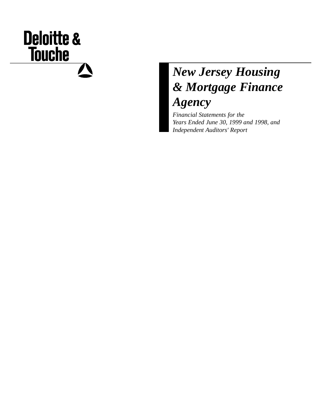# **Deloitte & Touche**  $\boldsymbol{N}$

## *New Jersey Housing & Mortgage Finance Agency*

*Financial Statements for the Years Ended June 30, 1999 and 1998, and Independent Auditors' Report*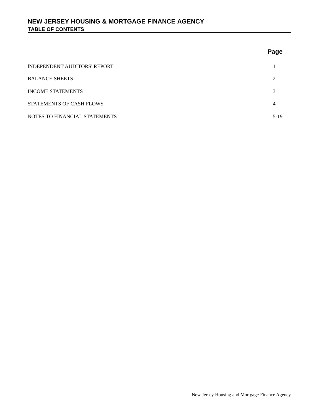## **Page**

| INDEPENDENT AUDITORS' REPORT    |        |
|---------------------------------|--------|
| <b>BALANCE SHEETS</b>           | ↑      |
| <b>INCOME STATEMENTS</b>        | 3      |
| <b>STATEMENTS OF CASH FLOWS</b> |        |
| NOTES TO FINANCIAL STATEMENTS   | $5-19$ |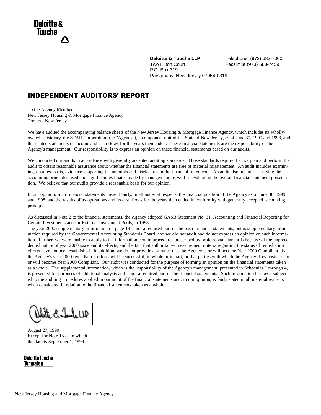**Deloitte & Touche LLP** Telephone: (973) 683-7000 Two Hilton Court Facsimile (973) 683-7459 P.O. Box 319 Parsippany, New Jersey 07054-0319

## INDEPENDENT AUDITORS' REPORT

To the Agency Members New Jersey Housing & Mortgage Finance Agency Trenton, New Jersey

We have audited the accompanying balance sheets of the New Jersey Housing & Mortgage Finance Agency, which includes its whollyowned subsidiary, the STAR Corporation (the "Agency"), a component unit of the State of New Jersey, as of June 30, 1999 and 1998, and the related statements of income and cash flows for the years then ended. These financial statements are the responsibility of the Agency's management. Our responsibility is to express an opinion on these financial statements based on our audits.

We conducted our audits in accordance with generally accepted auditing standards. Those standards require that we plan and perform the audit to obtain reasonable assurance about whether the financial statements are free of material misstatement. An audit includes examining, on a test basis, evidence supporting the amounts and disclosures in the financial statements. An audit also includes assessing the accounting principles used and significant estimates made by management, as well as evaluating the overall financial statement presentation. We believe that our audits provide a reasonable basis for our opinion.

In our opinion, such financial statements present fairly, in all material respects, the financial position of the Agency as of June 30, 1999 and 1998, and the results of its operations and its cash flows for the years then ended in conformity with generally accepted accounting principles.

As discussed in Note 2 to the financial statements, the Agency adopted GASB Statement No. 31, Accounting and Financial Reporting for Certain Investments and for External Investment Pools, in 1998.

The year 2000 supplementary information on page 19 is not a required part of the basic financial statements, but is supplementary information required by the Governmental Accounting Standards Board, and we did not audit and do not express an opinion on such information. Further, we were unable to apply to the information certain procedures prescribed by professional standards because of the unprecedented nature of year 2000 issue and its effects, and the fact that authoritative measurement criteria regarding the status of remediation efforts have not been established. In addition, we do not provide assurance that the Agency is or will become Year 2000 Compliant, that the Agency's year 2000 remediation efforts will be successful, in whole or in part, or that parties with which the Agency does business are or will become Year 2000 Compliant. Our audit was conducted for the purpose of forming an opinion on the financial statements taken as a whole. The supplemental information, which is the responsibility of the Agency's management, presented in Schedules 1 through 4, is presented for purposes of additional analysis and is not a required part of the financial statements. Such information has been subjected to the auditing procedures applied in our audit of the financial statements and, in our opinion, is fairly stated in all material respects when considered in relation to the financial statements taken as a whole.

Endeda

August 27, 1999 Except for Note 15 as to which the date is September 1, 1999

**Deloitte Touche Tohmatsu**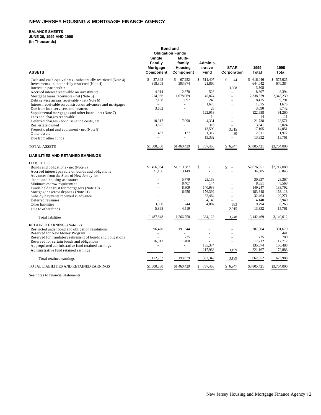## **NEW JERSEY HOUSING & MORTGAGE FINANCE AGENCY**

## **BALANCE SHEETS**

**JUNE 30, 1999 AND 1998** 

**(In Thousands)**

|                                                               | <b>Bond and</b><br><b>Obligation Funds</b> |                                          |                             |                            |               |               |
|---------------------------------------------------------------|--------------------------------------------|------------------------------------------|-----------------------------|----------------------------|---------------|---------------|
| <b>ASSETS</b>                                                 | Single<br>Family<br>Mortgage<br>Component  | Multi-<br>family<br>Housing<br>Component | Adminis-<br>trative<br>Fund | <b>STAR</b><br>Corporation | 1999<br>Total | 1998<br>Total |
| Cash and cash equivalents - substantially restricted (Note 4) | \$<br>37,343                               | $\mathbf{s}$<br>67,252                   | \$ 511,407                  | \$<br>44                   | \$ 616,046    | \$575,025     |
| Investments - substantially restricted (Note 4)               | 318,308                                    | 303,874                                  | 21,860                      |                            | 644,042       | 670,384       |
| Interest in partnership                                       |                                            |                                          |                             | 3,308                      | 3,308         |               |
| Accrued interest receivable on investments                    | 4.914                                      | 2,870                                    | 523                         |                            | 8.307         | 8,394         |
| Mortgage loans receivable - net (Note 5)                      | 1,214,936                                  | 1,078,069                                | 45,874                      | ÷,                         | 2,338,879     | 2,345,239     |
| Debt service arrears receivable - net (Note 6)                | 7.138                                      | 1,097                                    | 240                         |                            | 8,475         | 9,791         |
| Interest receivable on construction advances and mortgages    | $\sim$                                     | ÷.                                       | 1,675                       |                            | 1,675         | 1,675         |
| Due from loan servicers and insurers                          | 3,662                                      | $\overline{a}$                           | 28                          |                            | 3,690         | 3,742         |
| Supplemental mortgages and other loans - net (Note 7)         | $\sim$                                     | $\blacksquare$                           | 122,958                     |                            | 122,958       | 91,260        |
| Fees and charges receivable                                   | L.                                         |                                          | 14                          | $\overline{\phantom{a}}$   | 14            | 111           |
| Deferred charges - bond issuance costs, net                   | 10,317                                     | 7,090                                    | 4,331                       |                            | 21,738        | 23,571        |
| Real estate owned                                             | 3,525                                      | ÷.                                       | 316                         | $\sim$                     | 3,841         | 3.024         |
| Property, plant and equipment - net (Note 8)                  | $\overline{a}$                             | ÷.                                       | 13,590                      | 3,515                      | 17,105        | 14,051        |
| Other assets                                                  | 437                                        | 177                                      | 1,317                       | 80                         | 2,011         | 1,972         |
| Due from other funds                                          | $\sim$                                     | $\omega_{\rm{eff}}$                      | 13,332                      | $\sim 10$                  | 13,332        | 15,761        |
| <b>TOTAL ASSETS</b>                                           | \$1,600,580                                | \$1,460,429                              | \$ 737,465                  | \$ 6,947                   | \$3,805,421   | \$3,764,000   |
| <b>LIABILITIES AND RETAINED EARNINGS</b>                      |                                            |                                          |                             |                            |               |               |
| <b>LIABILITIES:</b>                                           |                                            |                                          |                             |                            |               |               |
| Bonds and obligations - net (Note 9)                          | \$1,456,964                                | \$1,219,387                              | \$<br>$\overline{a}$        | \$<br>$\sim$               | \$2,676,351   | \$2,717,089   |
| Accrued interest payable on bonds and obligations             | 21,156                                     | 13,149                                   |                             |                            | 34,305        | 35,843        |
| Advances from the State of New Jersey for                     |                                            |                                          |                             |                            |               |               |
| bond and housing assistance                                   |                                            | 5,779                                    | 25,158                      |                            | 30,937        | 28,367        |
| Minimum escrow requirement                                    |                                            | 8,407                                    | 144                         |                            | 8,551         | 8,568         |
| Funds held in trust for mortgagors (Note 10)                  |                                            | 8,309                                    | 140,938                     |                            | 149,247       | 133,792       |
| Mortgagor escrow deposits (Note 11)                           |                                            | 6,956                                    | 176,392                     |                            | 183,348       | 168,118       |
| Subsidy payments received in advance                          | $\overline{\phantom{a}}$                   | $\sim$                                   | 32,464                      | ÷,                         | 32,464        | 20,271        |
| Deferred revenues                                             |                                            |                                          | 4,140                       | ÷.                         | 4,140         | 3,940         |
| Other liabilities                                             | 3,830                                      | 244                                      | 4,887                       | 833                        | 9,794         | 8,263         |
| Due to other funds                                            | 5,898                                      | 4,519                                    | $\sim$                      | 2,915                      | 13,332        | 15,761        |
| <b>Total</b> liabilities                                      | 1,487,848                                  | 1,266,750                                | 384,123                     | 3,748                      | 3,142,469     | 3,140,012     |
| RETAINED EARNINGS (Note 12):                                  |                                            |                                          |                             |                            |               |               |
| Restricted under bond and obligation resolutions              | 96,420                                     | 191,544                                  |                             |                            | 287,964       | 301,679       |
| Reserved for New Money Program                                |                                            |                                          | $\ddot{\phantom{1}}$        |                            |               | 441           |
| Reserved for mandatory retirement of bonds and obligations    |                                            | 735                                      | $\overline{a}$              |                            | 735           | 780           |
| Reserved for certain bonds and obligations                    | 16,312                                     | 1,400                                    |                             |                            | 17,712        | 17.712        |
| Appropriated administrative fund retained earnings            | $\sim$                                     | $\equiv$                                 | 135,374                     |                            | 135,374       | 130,488       |
| Administrative fund retained earnings                         | $\omega$                                   | $\blacksquare$                           | 217,968                     | 3,199                      | 221,167       | 172,888       |
| Total retained earnings                                       | 112,732                                    | 193,679                                  | 353,342                     | 3,199                      | 662,952       | 623,988       |
| TOTAL LIABILITIES AND RETAINED EARNINGS                       | \$1,600,580                                | \$1,460,429                              | \$<br>737,465               | \$ 6,947                   | \$3,805,421   | \$3,764,000   |

See notes to financial statements.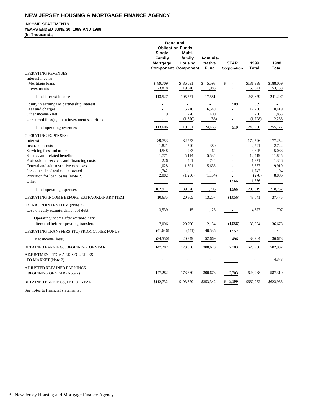## **NEW JERSEY HOUSING & MORTGAGE FINANCE AGENCY**

## **INCOME STATEMENTS**

## **YEARS ENDED JUNE 30, 1999 AND 1998**

**(In Thousands)**

|                                                                                                                                         | Single<br>Family<br>Mortgage   | <b>Bond and</b><br><b>Obligation Funds</b><br>Multi-<br>family<br>Housing<br><b>Component Component</b> | Adminis-<br>trative<br><b>Fund</b> | <b>STAR</b><br>Corporation    | 1999<br>Total                    | 1998<br>Total                     |
|-----------------------------------------------------------------------------------------------------------------------------------------|--------------------------------|---------------------------------------------------------------------------------------------------------|------------------------------------|-------------------------------|----------------------------------|-----------------------------------|
| <b>OPERATING REVENUES:</b>                                                                                                              |                                |                                                                                                         |                                    |                               |                                  |                                   |
| Interest income:<br>Mortgage loans<br>Investments                                                                                       | \$89,709<br>23,818             | \$86,031<br>19,540                                                                                      | \$5,598<br>11,983                  | \$                            | \$181,338<br>55,341              | \$188,069<br>53,138               |
| Total interest income                                                                                                                   | 113,527                        | 105,571                                                                                                 | 17,581                             | ٠                             | 236,679                          | 241,207                           |
| Equity in earnings of partnership interest<br>Fees and charges<br>Other income - net<br>Unrealized (loss) gain in investment securities | 79<br>$\overline{\phantom{a}}$ | 6,210<br>270<br>(1,670)                                                                                 | 6,540<br>400<br>(58)               | 509<br>$\mathbf{1}$<br>$\sim$ | 509<br>12,750<br>750<br>(1,728)  | 10,419<br>1,863<br>2,238          |
| Total operating revenues                                                                                                                | 113,606                        | 110,381                                                                                                 | 24,463                             | 510                           | 248,960                          | 255,727                           |
| <b>OPERATING EXPENSES:</b><br>Interest<br>Insurance costs                                                                               | 89,753<br>1,821                | 82,773<br>520                                                                                           | $\overline{a}$<br>380              |                               | 172,526<br>2,721                 | 177,252<br>2,722                  |
| Servicing fees and other<br>Salaries and related benefits<br>Professional services and financing costs                                  | 4,548<br>1,771<br>226<br>1,028 | 283<br>5,114<br>401                                                                                     | 64<br>5,534<br>744                 |                               | 4.895<br>12,419<br>1,371         | 5.088<br>11,845<br>1,346<br>9,919 |
| General and administrative expenses<br>Loss on sale of real estate owned<br>Provision for loan losses (Note 2)<br>Other                 | 1,742<br>2,082<br>$\sim 10$    | 1,691<br>(1,206)<br>$\overline{\phantom{a}}$                                                            | 5,638<br>(1, 154)<br>$\sim$        | 1,566                         | 8,357<br>1,742<br>(278)<br>1,566 | 1,194<br>8,886<br>$\sim$          |
| Total operating expenses                                                                                                                | 102,971                        | 89,576                                                                                                  | 11,206                             | 1,566                         | 205,319                          | 218,252                           |
| OPERATING INCOME BEFORE EXTRAORDINARY ITEM                                                                                              | 10,635                         | 20,805                                                                                                  | 13,257                             | (1,056)                       | 43,641                           | 37,475                            |
| <b>EXTRAORDINARY ITEM (Note 3):</b><br>Loss on early extinguishment of debt                                                             | 3,539                          | 15                                                                                                      | 1,123                              | $\sim$                        | 4,677                            | 797                               |
| Operating income after extraordinary<br>item and before operating transfers                                                             | 7.096                          | 20,790                                                                                                  | 12,134                             | (1,056)                       | 38,964                           | 36.678                            |
| OPERATING TRANSFERS (TO) FROM OTHER FUNDS                                                                                               | (41, 646)                      | (441)                                                                                                   | 40,535                             | 1,552                         | $\overline{\phantom{a}}$         | $\sim$                            |
| Net income (loss)                                                                                                                       | (34,550)                       | 20,349                                                                                                  | 52,669                             | 496                           | 38,964                           | 36,678                            |
| RETAINED EARNINGS, BEGINNING OF YEAR                                                                                                    | 147.282                        | 173,330                                                                                                 | 300,673                            | 2,703                         | 623,988                          | 582,937                           |
| ADJUSTMENT TO MARK SECURITIES<br>TO MARKET (Note 2)                                                                                     |                                |                                                                                                         |                                    | $\overline{\phantom{a}}$      |                                  | 4,373                             |
| ADJUSTED RETAINED EARNINGS,<br><b>BEGINNING OF YEAR (Note 2)</b>                                                                        | 147,282                        | 173,330                                                                                                 | 300,673                            | 2,703                         | 623,988                          | 587,310                           |
| RETAINED EARNINGS, END OF YEAR                                                                                                          | \$112,732                      | \$193,679                                                                                               | \$353,342                          | \$<br>3,199                   | \$662,952                        | \$623,988                         |

See notes to financial statements.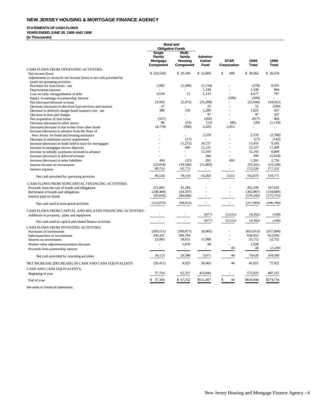## **NEW JERSEY HOUSING & MORTGAGE FINANCE AGENCY**

#### **STATEMENTS OF CASH FLOWS**

**YEARS ENDED JUNE 30, 1999 AND 1998**

**(In Thousands)**

|                                                                    | <b>Bond and</b><br><b>Obligation Funds</b> |                                    |                          |                          |              |              |
|--------------------------------------------------------------------|--------------------------------------------|------------------------------------|--------------------------|--------------------------|--------------|--------------|
|                                                                    | <b>Single</b><br>Family<br>Mortgage        | <b>Multi-</b><br>family<br>Housing | Adminis-<br>trative      | <b>STAR</b>              | 1999         | 1998         |
|                                                                    | Component                                  | Component                          | Fund                     | Corporation              | <b>Total</b> | <b>Total</b> |
| CASH FLOWS FROM OPERATING ACTIVITIES:                              |                                            |                                    |                          |                          |              |              |
| Net income (loss)                                                  | \$ (34,550)                                | \$20,349                           | \$52,669                 | \$<br>496                | \$ 38,964    | \$ 36,678    |
| Adjustments to reconcile net income (loss) to net cash provided by |                                            |                                    |                          |                          |              |              |
| (used in) operating activities:                                    |                                            |                                    |                          |                          |              |              |
| Provision for loan losses - net                                    | 2,082                                      | (1,206)                            | (1,154)                  |                          | (278)        | 8,595        |
| Depreciation expense                                               |                                            |                                    | 1,338                    |                          | 1,338        | 894          |
| Loss on early extinguishment of debt                               | 3,539                                      | 15                                 | 1,123                    |                          | 4,677        | 797          |
| Equity in earnings of partnership interest                         |                                            |                                    | ÷.                       | (509)                    | (509)        |              |
| Net (increase) decrease in loans                                   | 13.916                                     | (2,472)                            | (35, 388)                |                          | (23,944)     | (34.652)     |
| Decrease (increase) in due from loan servicers and insurers        | 27                                         |                                    | 25                       |                          | 52           | (260)        |
| Decrease in deferred charges bond issuance cost - net              | 386                                        | 150                                | 1,289                    |                          | 1.825        | 457          |
| Decrease in fees and charges                                       | L.                                         |                                    | 97                       |                          | 97           | 337          |
| Net acquisition of real estate                                     | (557)                                      |                                    | (260)                    |                          | (817)        | 464          |
| Decrease (increase) in other assets                                | 86                                         | (33)                               | (12)                     | (80)                     | (39)         | (1,118)      |
| (Increase) decrease in due to/due from other funds                 | (4,778)                                    | (566)                              | 2,429                    | 2,915                    | ÷.           | ×,           |
| Increase (decrease) in advance from the State of                   |                                            |                                    |                          |                          |              |              |
| New Jersey for bond and housing assistance                         |                                            |                                    | 2,570                    |                          | 2,570        | (2,788)      |
| Decrease in minimum escrow requirement                             |                                            | (17)                               | L.                       |                          | (17)         | (142)        |
| Increase (decrease) in funds held in trust for mortgagors          |                                            | (1,272)                            | 16,727                   |                          | 15,455       | 9,185        |
| Increase in mortgagor escrow deposits                              |                                            | 406                                | 12,121                   |                          | 12,527       | 11,309       |
| Increase in subsidy payments received in advance                   |                                            | ä,                                 | 12,193                   |                          | 12,193       | 8,869        |
| Increase (decrease) in deferred revenue                            |                                            | L.                                 | 200                      | ÷.                       | 200          | (5,624)      |
| Increase (decrease) in other liabilities                           | 450                                        | (37)                               | 285                      | 693                      | 1.391        | 2.756        |
| Interest income on investments                                     | (23, 818)                                  | (19, 540)                          | (11,983)                 |                          | (55, 341)    | (53, 238)    |
| Interest expense                                                   | 89,753                                     | 82,773                             | $\sim$                   | $\overline{\phantom{a}}$ | 172,526      | 177,252      |
| Net cash provided by operating activities                          | 46,536                                     | 78,550                             | 54,269                   | 3,515                    | 182,870      | 159,771      |
| CASH FLOWS FROM NONCAPITAL FINANCING ACTIVITIES:                   |                                            |                                    |                          |                          |              |              |
| Proceeds from the sale of bonds and obligations                    | 221,065                                    | 41,184                             |                          |                          | 262,249      | 107,655      |
| Retirement of bonds and obligations                                | (248, 480)                                 | (54, 507)                          |                          |                          | (302, 987)   | (118,680)    |
| Interest paid on bonds                                             | (95, 655)                                  | (80,690)                           |                          |                          | (176, 345)   | (175, 755)   |
|                                                                    |                                            |                                    |                          |                          |              |              |
| Net cash used in noncapital activities                             | (123,070)                                  | (94, 013)                          | $\overline{\phantom{a}}$ | $\sim 10$                | (217,083)    | (186,780)    |
| CASH FLOWS FROM CAPITAL AND RELATED FINANCING ACTIVITIES -         |                                            |                                    |                          |                          |              |              |
| Additions to property, plant and equipment                         |                                            |                                    | (877)                    | (3,515)                  | (4, 392)     | (149)        |
| Net cash used in capital and related finance activities            | $\sim$                                     | $\overline{\phantom{a}}$           | (877)                    | (3,515)                  | (4, 392)     | (149)        |
| CASH FLOWS FROM INVESTING ACTIVITIES:                              |                                            |                                    |                          |                          |              |              |
| Purchases of investments                                           | (303, 151)                                 | (300, 877)                         | (8,985)                  |                          | (613, 013)   | (557,990)    |
| Sales/maturities of investments                                    | 336,191                                    | 300,764                            |                          |                          | 636,955      | 612,056      |
| Interest on investments                                            | 23,083                                     | 18,631                             | 11,998                   | L                        | 53,712       | 52,752       |
| Market value adjustment/premium discount                           | ×.                                         | 1,870                              | 58                       |                          | 1.928        |              |
|                                                                    | $\sim$                                     | $\sim$                             | $\sim$                   | 44                       | 44           | (2,238)      |
| Proceeds from partnership interest                                 |                                            |                                    |                          |                          |              |              |
| Net cash provided by investing activities                          | 56,123                                     | 20,388                             | 3,071                    | 44                       | 79,626       | 104,580      |
| NET INCREASE (DECREASE) IN CASH AND CASH EQUIVALENTS               | (20, 411)                                  | 4,925                              | 56,463                   | 44                       | 41,021       | 77,422       |
| CASH AND CASH EQUIVALENTS,                                         |                                            |                                    |                          |                          |              |              |
| Beginning of year                                                  | 57,754                                     | 62,327                             | 454,944                  |                          | 575,025      | 497,312      |
|                                                                    |                                            |                                    |                          |                          |              |              |
| End of year                                                        | \$<br>37,343                               | \$ 67,252                          | \$511,407                | 44<br>\$                 | \$616,046    | \$574,734    |

See notes to financial statements.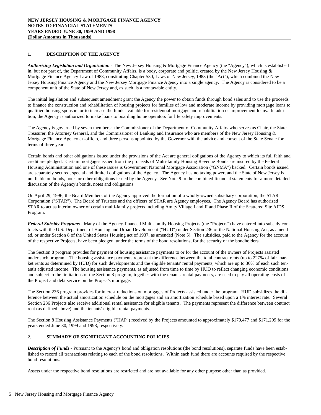## **1. DESCRIPTION OF THE AGENCY**

*Authorizing Legislation and Organization* - The New Jersey Housing & Mortgage Finance Agency (the "Agency"), which is established in, but not part of, the Department of Community Affairs, is a body, corporate and politic, created by the New Jersey Housing & Mortgage Finance Agency Law of 1983, constituting Chapter 530, Laws of New Jersey, 1983 (the "Act"), which combined the New Jersey Housing Finance Agency and the New Jersey Mortgage Finance Agency into a single agency. The Agency is considered to be a component unit of the State of New Jersey and, as such, is a nontaxable entity.

The initial legislation and subsequent amendment grant the Agency the power to obtain funds through bond sales and to use the proceeds to finance the construction and rehabilitation of housing projects for families of low and moderate income by providing mortgage loans to qualified housing sponsors or to increase the funds available for residential mortgage and rehabilitation or improvement loans. In addition, the Agency is authorized to make loans to boarding home operators for life safety improvements.

The Agency is governed by seven members: the Commissioner of the Department of Community Affairs who serves as Chair, the State Treasurer, the Attorney General, and the Commissioner of Banking and Insurance who are members of the New Jersey Housing  $\&$ Mortgage Finance Agency ex-officio, and three persons appointed by the Governor with the advice and consent of the State Senate for terms of three years.

Certain bonds and other obligations issued under the provisions of the Act are general obligations of the Agency to which its full faith and credit are pledged. Certain mortgages issued from the proceeds of Multi-family Housing Revenue Bonds are insured by the Federal Housing Administration and one of these issues is Government National Mortgage Association ("GNMA") backed. Certain bonds issued are separately secured, special and limited obligations of the Agency. The Agency has no taxing power, and the State of New Jersey is not liable on bonds, notes or other obligations issued by the Agency. See Note 9 to the combined financial statements for a more detailed discussion of the Agency's bonds, notes and obligations.

On April 29, 1996, the Board Members of the Agency approved the formation of a wholly-owned subsidiary corporation, the STAR Corporation ("STAR"). The Board of Trustees and the officers of STAR are Agency employees. The Agency Board has authorized STAR to act as interim owner of certain multi-family projects including Amity Village I and II and Phase II of the Scattered Site AIDS Program.

*Federal Subsidy Programs* - Many of the Agency-financed Multi-family Housing Projects (the "Projects") have entered into subsidy contracts with the U.S. Department of Housing and Urban Development ("HUD") under Section 236 of the National Housing Act, as amended, or under Section 8 of the United States Housing act of 1937, as amended (Note 5). The subsidies, paid to the Agency for the account of the respective Projects, have been pledged, under the terms of the bond resolutions, for the security of the bondholders.

The Section 8 program provides for payment of housing assistance payments to or for the account of the owners of Projects assisted under such program. The housing assistance payments represent the difference between the total contract rents (up to 227% of fair market rents as determined by HUD) for such developments and the eligible tenants' rental payments, which are up to 30% of each such tenant's adjusted income. The housing assistance payments, as adjusted from time to time by HUD to reflect changing economic conditions and subject to the limitations of the Section 8 program, together with the tenants' rental payments, are used to pay all operating costs of the Project and debt service on the Project's mortgage.

The Section 236 program provides for interest reductions on mortgages of Projects assisted under the program. HUD subsidizes the difference between the actual amortization schedule on the mortgages and an amortization schedule based upon a 1% interest rate. Several Section 236 Projects also receive additional rental assistance for eligible tenants. The payments represent the difference between contract rent (as defined above) and the tenants' eligible rental payments.

The Section 8 Housing Assistance Payments ("HAP") received by the Projects amounted to approximately \$170,477 and \$171,299 for the years ended June 30, 1999 and 1998, respectively.

## 2. **SUMMARY OF SIGNIFICANT ACCOUNTING POLICIES**

*Description of Funds* - Pursuant to the Agency's bond and obligation resolutions (the bond resolutions), separate funds have been established to record all transactions relating to each of the bond resolutions. Within each fund there are accounts required by the respective bond resolutions.

Assets under the respective bond resolutions are restricted and are not available for any other purpose other than as provided.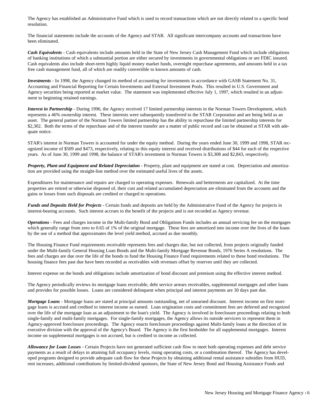The Agency has established an Administrative Fund which is used to record transactions which are not directly related to a specific bond resolution.

The financial statements include the accounts of the Agency and STAR. All significant intercompany accounts and transactions have been eliminated.

*Cash Equivalents* - Cash equivalents include amounts held in the State of New Jersey Cash Management Fund which include obligations of banking institutions of which a substantial portion are either secured by investments in governmental obligations or are FDIC insured. Cash equivalents also include short-term highly liquid money market funds, overnight repurchase agreements, and amounts held in a tax free cash management fund, all of which are readily convertible to known amounts of cash.

*Investments* - In 1998, the Agency changed its method of accounting for investments in accordance with GASB Statement No. 31, Accounting and Financial Reporting for Certain Investments and External Investment Pools. This resulted in U.S. Government and Agency securities being reported at market value. The statement was implemented effective July 1, 1997, which resulted in an adjustment to beginning retained earnings.

*Interest in Partnership* - During 1996, the Agency received 17 limited partnership interests in the Norman Towers Development, which represents a 46% ownership interest. These interests were subsequently transferred to the STAR Corporation and are being held as an asset. The general partner of the Norman Towers limited partnership has the ability to repurchase the limited partnership interests for \$2,302. Both the terms of the repurchase and of the interest transfer are a matter of public record and can be obtained at STAR with adequate notice.

STAR's interest in Norman Towers is accounted for under the equity method. During the years ended June 30, 1999 and 1998, STAR recognized income of \$509 and \$473, respectively, relating to this equity interest and received distributions of \$44 for each of the respective years. As of June 30, 1999 and 1998, the balance of STAR's investment in Norman Towers is \$3,308 and \$2,843, respectively.

*Property, Plant and Equipment and Related Depreciation* - Property, plant and equipment are stated at cost. Depreciation and amortization are provided using the straight-line method over the estimated useful lives of the assets.

Expenditures for maintenance and repairs are charged to operating expenses. Renewals and betterments are capitalized. At the time properties are retired or otherwise disposed of, their cost and related accumulated depreciation are eliminated from the accounts and the gains or losses from such disposals are credited or charged to operations.

*Funds and Deposits Held for Projects* - Certain funds and deposits are held by the Administrative Fund of the Agency for projects in interest-bearing accounts. Such interest accrues to the benefit of the projects and is not recorded as Agency revenue.

*Operations* - Fees and charges income in the Multi-family Bond and Obligations Funds includes an annual servicing fee on the mortgages which generally range from zero to 0.65 of 1% of the original mortgage. These fees are amortized into income over the lives of the loans by the use of a method that approximates the level yield method, accrued as due monthly.

The Housing Finance Fund requirements receivable represents fees and charges due, but not collected, from projects originally funded under the Multi-family General Housing Loan Bonds and the Multi-family Mortgage Revenue Bonds, 1976 Series A resolutions. The fees and charges are due over the life of the bonds to fund the Housing Finance Fund requirements related to these bond resolutions. The housing finance fees past due have been recorded as receivables with revenues offset by reserves until they are collected.

Interest expense on the bonds and obligations include amortization of bond discount and premium using the effective interest method.

The Agency periodically reviews its mortgage loans receivable, debt service arrears receivables, supplemental mortgages and other loans and provides for possible losses. Loans are considered delinquent when principal and interest payments are 30 days past due.

*Mortgage Loans* - Mortgage loans are stated at principal amounts outstanding, net of unearned discount. Interest income on first mortgage loans is accrued and credited to interest income as earned. Loan origination costs and commitment fees are deferred and recognized over the life of the mortgage loan as an adjustment to the loan's yield. The Agency is involved in foreclosure proceedings relating to both single-family and multi-family mortgages. For single-family mortgages, the Agency allows its outside servicers to represent them in Agency-approved foreclosure proceedings. The Agency enacts foreclosure proceedings against Multi-family loans at the direction of its executive division with the approval of the Agency's Board. The Agency is the first lienholder for all supplemental mortgages. Interest income on supplemental mortgages is not accrued, but is credited to income as collected.

*Allowance for Loan Losses* - Certain Projects have not generated sufficient cash flow to meet both operating expenses and debt service payments as a result of delays in attaining full occupancy levels, rising operating costs, or a combination thereof. The Agency has developed programs designed to provide adequate cash flow for these Projects by obtaining additional rental assistance subsidies from HUD, rent increases, additional contributions by limited-dividend sponsors, the State of New Jersey Bond and Housing Assistance Funds and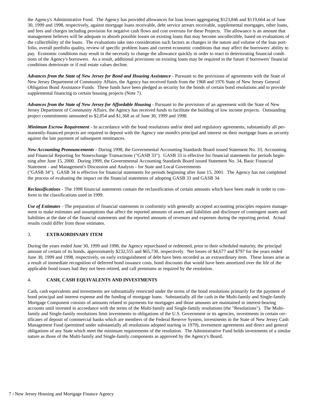the Agency's Administrative Fund. The Agency has provided allowances for loan losses aggregating \$123,846 and \$119,664 as of June 30, 1999 and 1998, respectively, against mortgage loans receivable, debt service arrears receivable, supplemental mortgages, other loans, and fees and charges including provision for negative cash flows and cost overruns for these Projects. The allowance is an amount that management believes will be adequate to absorb possible losses on existing loans that may become uncollectible, based on evaluations of the collectibility of the loans. The evaluations take into consideration such factors as changes in the nature and volume of the loan portfolio, overall portfolio quality, review of specific problem loans and current economic conditions that may affect the borrowers' ability to pay. Economic conditions may result in the necessity to change the allowance quickly in order to react to deteriorating financial conditions of the Agency's borrowers. As a result, additional provisions on existing loans may be required in the future if borrowers' financial conditions deteriorate or if real estate values decline.

*Advances from the State of New Jersey for Bond and Housing Assistance* - Pursuant to the provisions of agreements with the State of New Jersey Department of Community Affairs, the Agency has received funds from the 1968 and 1976 State of New Jersey General Obligation Bond Assistance Funds. These funds have been pledged as security for the bonds of certain bond resolutions and to provide supplemental financing to certain housing projects (Note 7).

*Advances from the State of New Jersey for Affordable Housing* - Pursuant to the provisions of an agreement with the State of New Jersey Department of Community Affairs, the Agency has received funds to facilitate the building of low income projects. Outstanding project commitments amounted to \$2,054 and \$1,368 as of June 30, 1999 and 1998.

*Minimum Escrow Requirement* - In accordance with the bond resolutions and/or deed and regulatory agreements, substantially all permanently-financed projects are required to deposit with the Agency one month's principal and interest on their mortgage loans as security against the late payment of subsequent remittances.

*New Accounting Pronouncements* - During 1998, the Governmental Accounting Standards Board issued Statement No. 33, Accounting and Financial Reporting for Nonexchange Transactions ("GASB 33"). GASB 33 is effective for financial statements for periods beginning after June 15, 2000. During 1999, the Governmental Accounting Standards Board issued Statement No. 34, Basic Financial Statement - and Management's Discussion and Analysis - for State and Local Governments ("GASB 34"). GASB 34 is effective for financial statements for periods beginning after June 15, 2001. The Agency has not completed the process of evaluating the impact on the financial statements of adopting GASB 33 and GASB 34.

*Reclassifications* - The 1998 financial statements contain the reclassification of certain amounts which have been made in order to conform to the classifications used in 1999.

*Use of Estimates* - The preparation of financial statements in conformity with generally accepted accounting principles requires management to make estimates and assumptions that affect the reported amounts of assets and liabilities and disclosure of contingent assets and liabilities at the date of the financial statements and the reported amounts of revenues and expenses during the reporting period. Actual results could differ from those estimates.

## 3. **EXTRAORDINARY ITEM**

During the years ended June 30, 1999 and 1998, the Agency repurchased or redeemed, prior to their scheduled maturity, the principal amount of certain of its bonds, approximately \$232,555 and \$65,730, respectively. Net losses of \$4,677 and \$797 for the years ended June 30, 1999 and 1998, respectively, on early extinguishment of debt have been recorded as an extraordinary item. These losses arise as a result of immediate recognition of deferred bond issuance costs, bond discounts that would have been amortized over the life of the applicable bond issues had they not been retired, and call premiums as required by the resolution.

## 4. **CASH, CASH EQUIVALENTS AND INVESTMENTS**

Cash, cash equivalents and investments are substantially restricted under the terms of the bond resolutions primarily for the payment of bond principal and interest expense and the funding of mortgage loans. Substantially all the cash in the Multi-family and Single-family Mortgage Component consists of amounts related to payments for mortgages and those amounts are maintained in interest-bearing accounts until invested in accordance with the terms of the Multi-family and Single-family resolutions (the "Resolutions"). The Multifamily and Single-family resolutions limit investments to obligations of the U.S. Government or its agencies, investments in certain certificates of deposit of commercial banks which are members of the Federal Reserve System, investments in the State of New Jersey Cash Management Fund (permitted under substantially all resolutions adopted starting in 1979), investment agreements and direct and general obligations of any State which meet the minimum requirements of the resolution. The Administrative Fund holds investments of a similar nature as those of the Multi-family and Single-family components as approved by the Agency's Board.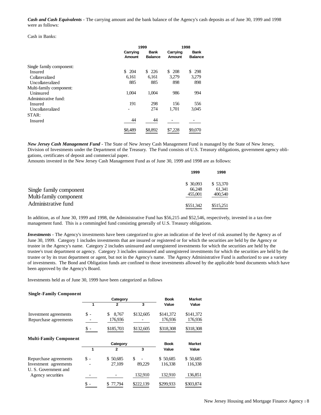*Cash and Cash Equivalents* - The carrying amount and the bank balance of the Agency's cash deposits as of June 30, 1999 and 1998 were as follows:

Cash in Banks:

|                          |                    | 1999                          |                    | 1998                          |
|--------------------------|--------------------|-------------------------------|--------------------|-------------------------------|
|                          | Carrying<br>Amount | <b>Bank</b><br><b>Balance</b> | Carrying<br>Amount | <b>Bank</b><br><b>Balance</b> |
| Single family component: |                    |                               |                    |                               |
| <b>Insured</b>           | \$.<br>204         | \$226                         | \$<br>208          | 298<br>\$                     |
| Collateralized           | 6,161              | 6,161                         | 3.279              | 3,279                         |
| Uncollateralized         | 885                | 885                           | 898                | 898                           |
| Multi-family component:  |                    |                               |                    |                               |
| Uninsured                | 1.004              | 1.004                         | 986                | 994                           |
| Administrative fund:     |                    |                               |                    |                               |
| Insured                  | 191                | 298                           | 156                | 556                           |
| Uncollateralized         |                    | 274                           | 1,701              | 3,045                         |
| STAR:                    |                    |                               |                    |                               |
| Insured                  | 44                 | 44                            |                    |                               |
|                          | \$8,489            | \$8,892                       | \$7,228            | \$9,070                       |

*New Jersey Cash Management Fund* - The State of New Jersey Cash Management Fund is managed by the State of New Jersey, Division of Investments under the Department of the Treasury. The Fund consists of U.S. Treasury obligations, government agency obligations, certificates of deposit and commercial paper.

Amounts invested in the New Jersey Cash Management Fund as of June 30, 1999 and 1998 are as follows:

|                                               | 1999                          | 1998                          |
|-----------------------------------------------|-------------------------------|-------------------------------|
| Single family component                       | \$30,093<br>66.248<br>455,001 | \$53,370<br>61.341<br>400,540 |
| Multi-family component<br>Administrative fund | \$551.342                     | \$515.251                     |

In addition, as of June 30, 1999 and 1998, the Administrative Fund has \$56,215 and \$52,546, respectively, invested in a tax-free management fund. This is a commingled fund consisting generally of U.S. Treasury obligations.

*Investments* - The Agency's investments have been categorized to give an indication of the level of risk assumed by the Agency as of June 30, 1999. Category 1 includes investments that are insured or registered or for which the securities are held by the Agency or trustee in the Agency's name. Category 2 includes uninsured and unregistered investments for which the securities are held by the trustee's trust department or agency. Category 3 includes uninsured and unregistered investments for which the securities are held by the trustee or by its trust department or agent, but not in the Agency's name. The Agency Administrative Fund is authorized to use a variety of investments. The Bond and Obligation funds are confined to those investments allowed by the applicable bond documents which have been approved by the Agency's Board.

Investments held as of June 30, 1999 have been categorized as follows

| <b>Single-Family Component</b>                |                |             |           |             |               |
|-----------------------------------------------|----------------|-------------|-----------|-------------|---------------|
|                                               |                | Category    |           | <b>Book</b> | <b>Market</b> |
|                                               |                | 2           | 3         | Value       | Value         |
| Investment agreements                         | \$ -           | \$<br>8.767 | \$132,605 | \$141,372   | \$141,372     |
| Repurchase agreements                         |                | 176,936     |           | 176,936     | 176,936       |
|                                               |                | \$185,703   | \$132,605 | \$318,308   | \$318,308     |
| <b>Multi-Family Component</b>                 |                |             |           |             |               |
|                                               |                | Category    |           | <b>Book</b> | <b>Market</b> |
|                                               | 1              | 2           | 3         | Value       | Value         |
| Repurchase agreements                         | $\mathbb{S}$ - | \$50,685    | \$        | \$50,685    | \$50,685      |
| Investment agreements<br>U. S. Government and |                | 27,109      | 89,229    | 116,338     | 116,338       |
| Agency securities                             |                |             | 132,910   | 132,910     | 136,851       |
|                                               |                | 77,794      | \$222,139 | \$299,933   | \$303,874     |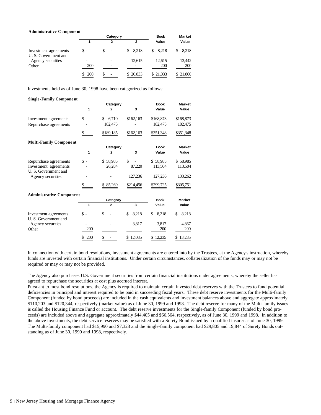#### **Administrative Component**

|                                               |                  | Category                      |          |          | <b>Market</b> |
|-----------------------------------------------|------------------|-------------------------------|----------|----------|---------------|
|                                               |                  | 2                             | 3        | Value    | Value         |
| Investment agreements<br>U. S. Government and | \$ -             | S<br>$\overline{\phantom{a}}$ | \$8,218  | \$8.218  | 8,218<br>S.   |
| Agency securities                             |                  |                               | 12.615   | 12.615   | 13,442        |
| Other                                         | 200              |                               |          | 200      | 200           |
|                                               | <b>200</b><br>S. | -                             | \$20,833 | \$21,033 | \$21,860      |

Investments held as of June 30, 1998 have been categorized as follows:

## **Single -Family Component Category Book Market 1 2 3 Value Value** Investment agreements  $\qquad$  \$ - \$ 6,710 \$162,163 \$168,873 \$168,873 Repurchase agreements - 182,475 - 182,475 182,475 \$ - \$189,185 \$162,163 \$351,348 \$351,348 **Multi-Family Component Category Book Market 1 2 3 Value Value** Repurchase agreements  $\begin{array}{cccc} \text{8 -} & \text{$58,985} & \text{$58,985} & \text{$58,985} \\ \text{Investment agreements} & - & 26,284 & 87,220 & 113,504 & 113,504 \end{array}$ Investment agreements - 26,284 87,220 113,504 113,504 U. S. Government and Agency securities - 127,236 127,236 133,262 \$ - \$ 85,269 \$214,456 \$299,725 \$305,751 **Administrative Component Category Book Market 1 2 3 Value Value** Investment agreements  $$ - $ 5 - $ 5 - $ 8,218 $ 8,218 $ 8,218 $ 8,218$ U. S. Government and Agency securities - 3,817 3,817 4,867 Other 200 - 200 200 \$ 200 \$ - \$ 12,035 \$ 12,235 \$ 13,285

In connection with certain bond resolutions, investment agreements are entered into by the Trustees, at the Agency's instruction, whereby funds are invested with certain financial institutions. Under certain circumstances, collateralization of the funds may or may not be required or may or may not be provided.

The Agency also purchases U.S. Government securities from certain financial institutions under agreements, whereby the seller has agreed to repurchase the securities at cost plus accrued interest.

Pursuant to most bond resolutions, the Agency is required to maintain certain invested debt reserves with the Trustees to fund potential deficiencies in principal and interest required to be paid in succeeding fiscal years. These debt reserve investments for the Multi-family Component (funded by bond proceeds) are included in the cash equivalents and investment balances above and aggregate approximately \$110,203 and \$120,344, respectively (market value) as of June 30, 1999 and 1998. The debt reserve for many of the Multi-family issues is called the Housing Finance Fund or account. The debt reserve investments for the Single-family Component (funded by bond proceeds) are included above and aggregate approximately \$44,405 and \$66,564, respectively, as of June 30, 1999 and 1998. In addition to the above investments, the debt service reserves may be satisfied with a Surety Bond issued by a qualified insurer as of June 30, 1999. The Multi-family component had \$15,990 and \$7,323 and the Single-family component had \$29,805 and 19,844 of Surety Bonds outstanding as of June 30, 1999 and 1998, respectively.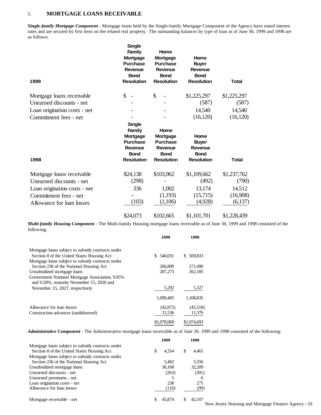## 5. **MORTGAGE LOANS RECEIVABLE**

*Single-family Mortgage Component* - Mortgage loans held by the Single-family Mortgage Component of the Agency have stated interest rates and are secured by first liens on the related real property. The outstanding balances by type of loan as of June 30, 1999 and 1998 are as follows:

| 1999                         | <b>Single</b><br><b>Family</b><br><b>Mortgage</b><br><b>Purchase</b><br>Revenue<br><b>Bond</b><br><b>Resolution</b> | Home<br><b>Mortgage</b><br><b>Purchase</b><br>Revenue<br><b>Bond</b><br><b>Resolution</b> | Home<br><b>Buyer</b><br>Revenue<br><b>Bond</b><br><b>Resolution</b> | <b>Total</b> |
|------------------------------|---------------------------------------------------------------------------------------------------------------------|-------------------------------------------------------------------------------------------|---------------------------------------------------------------------|--------------|
| Mortgage loans receivable    | \$<br>$\overline{\phantom{a}}$                                                                                      | \$                                                                                        | \$1,225,297                                                         | \$1,225,297  |
| Unearned discounts - net     |                                                                                                                     |                                                                                           | (587)                                                               | (587)        |
| Loan origination costs - net |                                                                                                                     |                                                                                           | 14,540                                                              | 14,540       |
| Commitment fees - net        |                                                                                                                     |                                                                                           | (16, 120)                                                           | (16, 120)    |
| 1998                         | <b>Single</b><br><b>Family</b><br><b>Mortgage</b><br><b>Purchase</b><br>Revenue<br><b>Bond</b><br><b>Resolution</b> | Home<br><b>Mortgage</b><br><b>Purchase</b><br>Revenue<br><b>Bond</b><br><b>Resolution</b> | Home<br><b>Buyer</b><br>Revenue<br><b>Bond</b><br><b>Resolution</b> | <b>Total</b> |
|                              |                                                                                                                     |                                                                                           |                                                                     |              |
| Mortgage loans receivable    | \$24,138                                                                                                            | \$103,962                                                                                 | \$1,109,662                                                         | \$1,237,762  |
| Unearned discounts - net     | (298)                                                                                                               |                                                                                           | (492)                                                               | (790)        |
| Loan origination costs - net | 336                                                                                                                 | 1,002                                                                                     | 13,174                                                              | 14,512       |
| Commitment fees - net        |                                                                                                                     | (1,193)                                                                                   | (15,715)                                                            | (16,908)     |
| Allowance for loan losses    | (103)                                                                                                               | (1,106)                                                                                   | (4,928)                                                             | (6,137)      |
|                              | \$24,073                                                                                                            | \$102,665                                                                                 | \$1,101,701                                                         | \$1,228,439  |

*Multi-family Housing Component* - The Multi-family Housing mortgage loans receivable as of June 30, 1999 and 1998 consisted of the following:

|                                                                                              | 1999           | 1998           |
|----------------------------------------------------------------------------------------------|----------------|----------------|
| Mortgage loans subject to subsidy contracts under                                            |                |                |
| Section 8 of the United States Housing Act                                                   | 540.031<br>\$. | 569,833<br>\$. |
| Mortgage loans subject to subsidy contracts under                                            |                |                |
| Section 236 of the National Housing Act                                                      | 266,809        | 271,490        |
| Unsubsidized mortgage loans                                                                  | 287,273        | 262,185        |
| Government National Mortgage Association, 9.95%<br>and 9.50%, maturity November 15, 2020 and |                |                |
| November 15, 2027, respectively                                                              | 5,292          | 5,327          |
|                                                                                              | 1.099.405      | 1,108,835      |
| Allowance for loan losses                                                                    | (42, 872)      | (45,518)       |
| Construction advances (undisbursed)                                                          | 21,536         | 11,376         |
|                                                                                              | \$1,078,069    | \$1,074,693    |

*Administrative Component* - The Administrative mortgage loans receivable as of June 30, 1999 and 1998 consisted of the following:

|                                                   |   | 1999   |   | 1998   |
|---------------------------------------------------|---|--------|---|--------|
| Mortgage loans subject to subsidy contracts under |   |        |   |        |
| Section 8 of the United States Housing Act        | S | 4.354  | S | 4,461  |
| Mortgage loans subject to subsidy contracts under |   |        |   |        |
| Section 236 of the National Housing Act           |   | 5,482  |   | 5,556  |
| Unsubsidized mortgage loans                       |   | 36,168 |   | 32,209 |
| Unearned discounts - net                          |   | (263)  |   | (301)  |
| Unearned premiums - net                           |   |        |   |        |
| Loan origination costs - net                      |   | 238    |   | 275    |
| Allowance for loan losses                         |   | (110)  |   | (99)   |
|                                                   |   |        |   |        |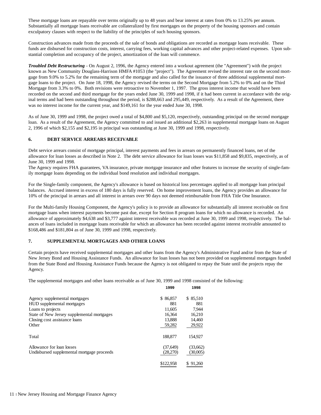These mortgage loans are repayable over terms originally up to 48 years and bear interest at rates from 0% to 13.25% per annum. Substantially all mortgage loans receivable are collateralized by first mortgages on the property of the housing sponsors and contain exculpatory clauses with respect to the liability of the principles of such housing sponsors.

Construction advances made from the proceeds of the sale of bonds and obligations are recorded as mortgage loans receivable. These funds are disbursed for construction costs, interest, carrying fees, working capital advances and other project-related expenses. Upon substantial completion and occupancy of the project, amortization of the loan will commence.

*Troubled Debt Restructuring* - On August 2, 1996, the Agency entered into a workout agreement (the "Agreement") with the project known as New Community Douglass-Harrison HMFA #1053 (the "project"). The Agreement revised the interest rate on the second mortgage from 9.0% to 5.2% for the remaining term of the mortgage and also called for the issuance of three additional supplemental mortgage loans to the project. On June 18, 1998, the Agency revised the terms on the Second Mortgage from 5.2% to 0% and on the Third Mortgage from 3.3% to 0%. Both revisions were retroactive to November 1, 1997. The gross interest income that would have been recorded on the second and third mortgage for the years ended June 30, 1999 and 1998, if it had been current in accordance with the original terms and had been outstanding throughout the period, is \$288,663 and 295,449, respectively. As a result of the Agreement, there was no interest income for the current year, and \$149,161 for the year ended June 30, 1998.

As of June 30, 1999 and 1998, the project owed a total of \$4,800 and \$5,120, respectively, outstanding principal on the second mortgage loan. As a result of the Agreement, the Agency committed to and issued an additional \$2,263 in supplemental mortgage loans on August 2, 1996 of which \$2,155 and \$2,195 in principal was outstanding at June 30, 1999 and 1998, respectively.

## **6. DEBT SERVICE ARREARS RECEIVABLE**

Debt service arrears consist of mortgage principal, interest payments and fees in arrears on permanently financed loans, net of the allowance for loan losses as described in Note 2. The debt service allowance for loan losses was \$11,858 and \$9,835, respectively, as of June 30, 1999 and 1998.

The Agency requires FHA guarantees, VA insurance, private mortgage insurance and other features to increase the security of single-family mortgage loans depending on the individual bond resolution and individual mortgages.

For the Single-family component, the Agency's allowance is based on historical loss percentages applied to all mortgage loan principal balances. Accrued interest in excess of 180 days is fully reserved. On home improvement loans, the Agency provides an allowance for 10% of the principal in arrears and all interest in arrears over 90 days not deemed reimbursable from FHA Title One Insurance.

For the Multi-family Housing Component, the Agency's policy is to provide an allowance for substantially all interest receivable on first mortgage loans when interest payments become past due, except for Section 8 program loans for which no allowance is recorded. An allowance of approximately \$4,638 and \$3,777 against interest receivable was recorded at June 30, 1999 and 1998, respectively. The balances of loans included in mortgage loans receivable for which an allowance has been recorded against interest receivable amounted to \$168,486 and \$181,804 as of June 30, 1999 and 1998, respectively.

## **7. SUPPLEMENTAL MORTGAGES AND OTHER LOANS**

Certain projects have received supplemental mortgages and other loans from the Agency's Administrative Fund and/or from the State of New Jersey Bond and Housing Assistance Funds. An allowance for loan losses has not been provided on supplemental mortgages funded from the State Bond and Housing Assistance Funds because the Agency is not obligated to repay the State until the projects repay the Agency.

**1999 1998**

The supplemental mortgages and other loans receivable as of June 30, 1999 and 1998 consisted of the following:

|                                            | 1999      | 1990     |
|--------------------------------------------|-----------|----------|
| Agency supplemental mortgages              | \$86,857  | \$85.510 |
| HUD supplemental mortgages                 | 881       | 881      |
| Loans to projects                          | 11,605    | 7.944    |
| State of New Jersey supplemental mortgages | 16.364    | 16,210   |
| Closing cost assistance loans              | 13.888    | 14.460   |
| Other                                      | 59,282    | 29,922   |
| Total                                      | 188,877   | 154,927  |
| Allowance for loan losses                  | (37,649)  | (33,662) |
| Undisbursed supplemental mortgage proceeds | (28,270)  | (30,005) |
|                                            | \$122,958 | 91.260   |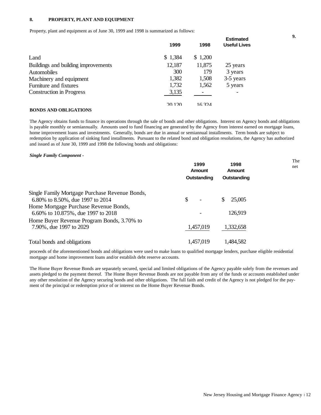## **8. PROPERTY, PLANT AND EQUIPMENT**

Property, plant and equipment as of June 30, 1999 and 1998 is summarized as follows:

|                                     | 1999    | 1998    | <b>Estimated</b><br><b>Useful Lives</b> |
|-------------------------------------|---------|---------|-----------------------------------------|
| Land                                | \$1,384 | \$1,200 |                                         |
| Buildings and building improvements | 12,187  | 11,875  | 25 years                                |
| <b>Automobiles</b>                  | 300     | 179     | 3 years                                 |
| Machinery and equipment             | 1,382   | 1,508   | 3-5 years                               |
| Furniture and fixtures              | 1,732   | 1,562   | 5 years                                 |
| <b>Construction in Progress</b>     | 3,135   |         |                                         |
|                                     | 20120   | 16324   |                                         |
| <b>BONDS AND OBLIGATIONS</b>        |         |         |                                         |

The Agency obtains funds to finance its operations through the sale of bonds and other obligations. Interest on Agency bonds and obligations is payable monthly or semiannually. Amounts used to fund financing are generated by the Agency from interest earned on mortgage loans, home improvement loans and investments. Generally, bonds are due in annual or semiannual installments. Term bonds are subject to redemption by application of sinking fund installments. Pursuant to the related bond and obligation resolutions, the Agency has authorized and issued as of June 30, 1999 and 1998 the following bonds and obligations:

#### *Single Family Component -*

|                                                | 1999<br>Amount<br>Outstanding | 1998<br>Amount<br>Outstanding | The<br>net |
|------------------------------------------------|-------------------------------|-------------------------------|------------|
| Single Family Mortgage Purchase Revenue Bonds, |                               |                               |            |
| 6.80% to 8.50%, due 1997 to 2014               | \$                            | 25,005                        |            |
| Home Mortgage Purchase Revenue Bonds,          |                               |                               |            |
| 6.60% to 10.875%, due 1997 to 2018             |                               | 126,919                       |            |
| Home Buyer Revenue Program Bonds, 3.70% to     |                               |                               |            |
| 7.90%, due 1997 to 2029                        | 1,457,019                     | 1,332,658                     |            |
| Total bonds and obligations                    | 1,457,019                     | 1,484,582                     |            |

proceeds of the aforementioned bonds and obligations were used to make loans to qualified mortgage lenders, purchase eligible residential mortgage and home improvement loans and/or establish debt reserve accounts.

The Home Buyer Revenue Bonds are separately secured, special and limited obligations of the Agency payable solely from the revenues and assets pledged to the payment thereof. The Home Buyer Revenue Bonds are not payable from any of the funds or accounts established under any other resolution of the Agency securing bonds and other obligations. The full faith and credit of the Agency is not pledged for the payment of the principal or redemption price of or interest on the Home Buyer Revenue Bonds.

**9.**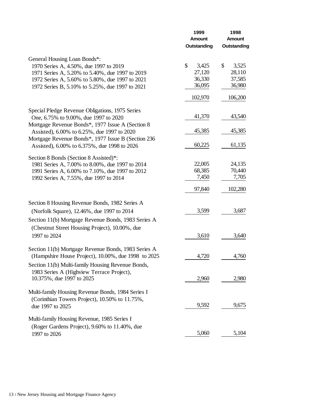|                                                                                                                                                        | 1999<br>Amount<br>Outstanding | 1998<br>Amount<br>Outstanding    |  |
|--------------------------------------------------------------------------------------------------------------------------------------------------------|-------------------------------|----------------------------------|--|
| General Housing Loan Bonds*:                                                                                                                           |                               |                                  |  |
| 1970 Series A, 4.50%, due 1997 to 2019<br>1971 Series A, 5.20% to 5.40%, due 1997 to 2019                                                              | \$<br>3,425<br>27,120         | $\mathcal{S}$<br>3,525<br>28,110 |  |
| 1972 Series A, 5.60% to 5.80%, due 1997 to 2021<br>1972 Series B, 5.10% to 5.25%, due 1997 to 2021                                                     | 36,330<br>36,095              | 37,585<br>36,980                 |  |
|                                                                                                                                                        | 102,970                       | 106,200                          |  |
| Special Pledge Revenue Obligations, 1975 Series<br>One, 6.75% to 9.00%, due 1997 to 2020                                                               | 41,370                        | 43,540                           |  |
| Mortgage Revenue Bonds*, 1977 Issue A (Section 8)<br>Assisted), 6.00% to 6.25%, due 1997 to 2020<br>Mortgage Revenue Bonds*, 1977 Issue B (Section 236 | 45,385                        | 45,385                           |  |
| Assisted), 6.00% to 6.375%, due 1998 to 2026                                                                                                           | 60,225                        | 61,135                           |  |
| Section 8 Bonds (Section 8 Assisted)*:<br>1981 Series A, 7.00% to 8.00%, due 1997 to 2014                                                              | 22,005<br>68,385              | 24,135<br>70,440                 |  |
| 1991 Series A, 6.00% to 7.10%, due 1997 to 2012<br>1992 Series A, 7.55%, due 1997 to 2014                                                              | 7,450                         | 7,705                            |  |
|                                                                                                                                                        | 97,840                        | 102,280                          |  |
| Section 8 Housing Revenue Bonds, 1982 Series A<br>(Norfolk Square), 12.46%, due 1997 to 2014                                                           | 3,599                         | 3,687                            |  |
| Section 11(b) Mortgage Revenue Bonds, 1983 Series A<br>(Chestnut Street Housing Project), 10.00%, due<br>1997 to 2024                                  | 3,610                         | 3,640                            |  |
| Section 11(b) Mortgage Revenue Bonds, 1983 Series A                                                                                                    |                               |                                  |  |
| (Hampshire House Project), 10.00%, due 1998 to 2025<br>Section 11(b) Multi-family Housing Revenue Bonds,                                               | 4,720                         | 4,760                            |  |
| 1983 Series A (Highview Terrace Project),<br>10.375%, due 1997 to 2025                                                                                 | 2,960                         | 2,980                            |  |
| Multi-family Housing Revenue Bonds, 1984 Series I<br>(Corinthian Towers Project), 10.50% to 11.75%,<br>due 1997 to 2025                                | 9,592                         | 9,675                            |  |
| Multi-family Housing Revenue, 1985 Series I<br>(Roger Gardens Project), 9.60% to 11.40%, due<br>1997 to 2026                                           | 5,060                         | 5,104                            |  |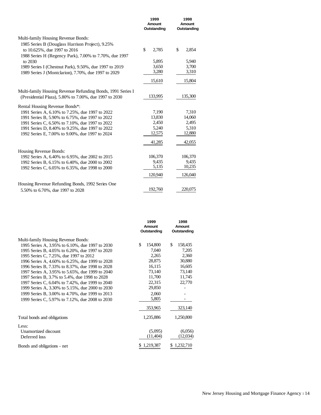|                                                                                  | 1999<br>Amount<br>Outstanding | 1998<br>Amount<br>Outstanding |  |
|----------------------------------------------------------------------------------|-------------------------------|-------------------------------|--|
| Multi-family Housing Revenue Bonds:                                              |                               |                               |  |
| 1985 Series B (Douglass Harrison Project), 9.25%<br>to 10.625%, due 1997 to 2016 | \$<br>2,785                   | \$<br>2,854                   |  |
| 1988 Series H (Regency Park), 7.00% to 7.70%, due 1997<br>to 2030                | 5,895                         | 5,940                         |  |
| 1989 Series I (Chestnut Park), 9.50%, due 1997 to 2019                           | 3,650                         | 3,700                         |  |
| 1989 Series J (Montclarion), 7.70%, due 1997 to 2029                             | 3,280                         | 3,310                         |  |
|                                                                                  | 15,610                        | 15,804                        |  |
| Multi-family Housing Revenue Refunding Bonds, 1991 Series I                      |                               |                               |  |
| (Presidential Plaza), 5.80% to 7.00%, due 1997 to 2030                           | 133,995                       | 135,300                       |  |
| Rental Housing Revenue Bonds*:                                                   |                               |                               |  |
| 1991 Series A, 6.10% to 7.25%, due 1997 to 2022                                  | 7,190                         | 7,310                         |  |
| 1991 Series B, 5.90% to 6.75%, due 1997 to 2022                                  | 13,830                        | 14,060                        |  |
| 1991 Series C, 6.50% to 7.10%, due 1997 to 2022                                  | 2,450                         | 2,495                         |  |
| 1991 Series D, 8.40% to 9.25%, due 1997 to 2022                                  | 5,240                         | 5,310                         |  |
| 1992 Series E, 7.00% to 9.00%, due 1997 to 2024                                  | 12,575                        | 12,880                        |  |
|                                                                                  | 41,285                        | 42,055                        |  |
| Housing Revenue Bonds:                                                           |                               |                               |  |
| 1992 Series A, 6.40% to 6.95%, due 2002 to 2015                                  | 106,370                       | 106,370                       |  |
| 1992 Series B, 6.15% to 6.40%, due 2000 to 2002                                  | 9,435                         | 9,435                         |  |
| 1992 Series C, 6.05% to 6.35%, due 1998 to 2000                                  | 5,135                         | 10,235                        |  |
|                                                                                  | 120,940                       | 126,040                       |  |
| Housing Revenue Refunding Bonds, 1992 Series One                                 |                               |                               |  |
| 5.50% to 6.70%, due 1997 to 2028                                                 | 192,760                       | 220,075                       |  |

|                                                 | 1999<br>Amount<br>Outstanding | 1998<br>Amount<br>Outstanding |  |
|-------------------------------------------------|-------------------------------|-------------------------------|--|
| Multi-family Housing Revenue Bonds:             |                               |                               |  |
| 1995 Series A, 3.95% to 6.10%, due 1997 to 2030 | \$<br>154,800                 | \$<br>158,435                 |  |
| 1995 Series B, 4.05% to 6.20%, due 1997 to 2020 | 7,040                         | 7,205                         |  |
| 1995 Series C, 7.25%, due 1997 to 2012          | 2,265                         | 2,360                         |  |
| 1996 Series A, 4.60% to 6.25%, due 1999 to 2028 | 28,875                        | 30,880                        |  |
| 1996 Series B, 7.33% to 8.37%, due 1998 to 2028 | 16,115                        | 16,605                        |  |
| 1997 Series A, 3.95% to 5.65%, due 1999 to 2040 | 73,140                        | 73,140                        |  |
| 1997 Series B, 3.7% to 5.4%, due 1998 to 2028   | 11,700                        | 11,745                        |  |
| 1997 Series C, 6.04% to 7.42%, due 1999 to 2040 | 22,315                        | 22,770                        |  |
| 1999 Series A, 3.30% to 5.15%, due 2000 to 2030 | 29,850                        |                               |  |
| 1999 Series B, 3.00% to 4.70%, due 1999 to 2013 | 2,060                         |                               |  |
| 1999 Series C, 5.97% to 7.12%, due 2008 to 2030 | 5,805                         |                               |  |
|                                                 | 353,965                       | 323,140                       |  |
| Total bonds and obligations                     | 1,235,886                     | 1,250,800                     |  |
| Less:                                           |                               |                               |  |
| Unamortized discount                            | (5,095)                       | (6,056)                       |  |
| Deferred loss                                   | (11,404)                      | (12,034)                      |  |
| Bonds and obligations - net                     | 1,219,387                     | 1,232,710                     |  |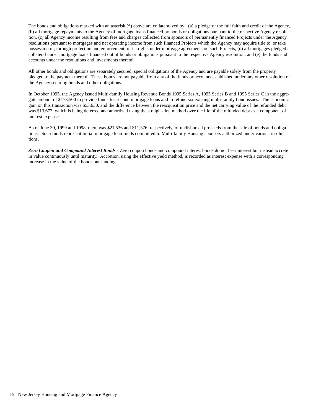The bonds and obligations marked with an asterisk (\*) above are collateralized by: (a) a pledge of the full faith and credit of the Agency, (b) all mortgage repayments to the Agency of mortgage loans financed by bonds or obligations pursuant to the respective Agency resolution, (c) all Agency income resulting from fees and charges collected from sponsors of permanently financed Projects under the Agency resolutions pursuant to mortgages and net operating income from such financed Projects which the Agency may acquire title to, or take possession of, through protection and enforcement, of its rights under mortgage agreements on such Projects, (d) all mortgages pledged as collateral under mortgage loans financed out of bonds or obligations pursuant to the respective Agency resolution, and (e) the funds and accounts under the resolutions and investments thereof.

All other bonds and obligations are separately secured, special obligations of the Agency and are payable solely from the property pledged to the payment thereof. These bonds are not payable from any of the funds or accounts established under any other resolution of the Agency securing bonds and other obligations.

In October 1995, the Agency issued Multi-family Housing Revenue Bonds 1995 Series A, 1995 Series B and 1995 Series C in the aggregate amount of \$173,500 to provide funds for second mortgage loans and to refund six existing multi-family bond issues. The economic gain on this transaction was \$53,630, and the difference between the reacquisition price and the net carrying value of the refunded debt was \$13,672, which is being deferred and amortized using the straight-line method over the life of the refunded debt as a component of interest expense.

As of June 30, 1999 and 1998, there was \$21,536 and \$11,376, respectively, of undisbursed proceeds from the sale of bonds and obligations. Such funds represent initial mortgage loan funds committed to Multi-family Housing sponsors authorized under various resolutions.

*Zero Coupon and Compound Interest Bonds* - Zero coupon bonds and compound interest bonds do not bear interest but instead accrete in value continuously until maturity. Accretion, using the effective yield method, is recorded as interest expense with a corresponding increase in the value of the bonds outstanding.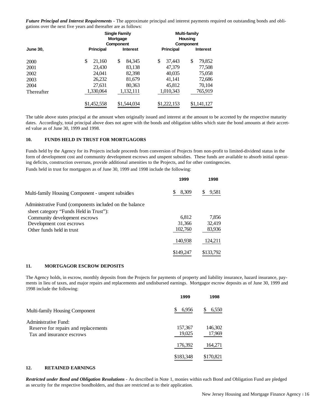*Future Principal and Interest Requirements* - The approximate principal and interest payments required on outstanding bonds and obligations over the next five years and thereafter are as follows:

|                 |                  | <b>Single Family</b><br>Mortgage<br>Component |                  | <b>Multi-family</b><br>Housing<br>Component |  |
|-----------------|------------------|-----------------------------------------------|------------------|---------------------------------------------|--|
| <b>June 30,</b> | <b>Principal</b> | <b>Interest</b>                               | <b>Principal</b> | <b>Interest</b>                             |  |
| 2000            | \$<br>21,160     | \$<br>84,345                                  | \$<br>37,443     | \$<br>79,852                                |  |
| 2001            | 23,430           | 83,138                                        | 47,379           | 77,508                                      |  |
| 2002            | 24.041           | 82,398                                        | 40,035           | 75,058                                      |  |
| 2003            | 26,232           | 81,679                                        | 41,141           | 72,686                                      |  |
| 2004            | 27,631           | 80,363                                        | 45,812           | 70,104                                      |  |
| Thereafter      | 1,330,064        | 1,132,111                                     | 1,010,343        | 765,919                                     |  |
|                 | \$1,452,558      | \$1,544,034                                   | \$1,222,153      | \$1,141,127                                 |  |

The table above states principal at the amount when originally issued and interest at the amount to be accreted by the respective maturity dates. Accordingly, total principal above does not agree with the bonds and obligation tables which state the bond amounts at their accreted value as of June 30, 1999 and 1998.

#### **10. FUNDS HELD IN TRUST FOR MORTGAGORS**

Funds held by the Agency for its Projects include proceeds from conversion of Projects from non-profit to limited-dividend status in the form of development cost and community development escrows and unspent subsidies. These funds are available to absorb initial operating deficits, construction overruns, provide additional amenities to the Projects, and for other contingencies.

Funds held in trust for mortgagors as of June 30, 1999 and 1998 include the following:

|                                                          | 1999        | 1998      |
|----------------------------------------------------------|-------------|-----------|
| Multi-family Housing Component - unspent subsidies       | \$<br>8,309 | 9,581     |
| Administrative Fund (components included on the balance) |             |           |
| sheet category "Funds Held in Trust"):                   |             |           |
| Community development escrows                            | 6.812       | 7.856     |
| Development cost escrows                                 | 31,366      | 32,419    |
| Other funds held in trust                                | 102,760     | 83,936    |
|                                                          | 140,938     | 124,211   |
|                                                          | \$149,247   | \$133,792 |

## **11. MORTGAGOR ESCROW DEPOSITS**

The Agency holds, in escrow, monthly deposits from the Projects for payments of property and liability insurance, hazard insurance, payments in lieu of taxes, and major repairs and replacements and undisbursed earnings. Mortgagor escrow deposits as of June 30, 1999 and 1998 include the following:

|                                                                                           | 1999              | 1998              |
|-------------------------------------------------------------------------------------------|-------------------|-------------------|
| Multi-family Housing Component                                                            | 6,956             | 6,550             |
| Administrative Fund:<br>Reserve for repairs and replacements<br>Tax and insurance escrows | 157,367<br>19,025 | 146,302<br>17,969 |
|                                                                                           | 176,392           | 164,271           |
|                                                                                           | \$183,348         | \$170,821         |

#### **12. RETAINED EARNINGS**

*Restricted under Bond and Obligation Resolutions* - As described in Note 1, monies within each Bond and Obligation Fund are pledged as security for the respective bondholders, and thus are restricted as to their application.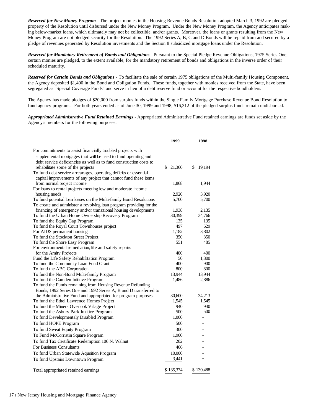*Reserved for New Money Program* - The project monies in the Housing Revenue Bonds Resolution adopted March 3, 1992 are pledged property of the Resolution until disbursed under the New Money Program. Under the New Money Program, the Agency anticipates making below-market loans, which ultimately may not be collectible, and/or grants. Moreover, the loans or grants resulting from the New Money Program are not pledged security for the Resolution. The 1992 Series A, B, C and D Bonds will be repaid from and secured by a pledge of revenues generated by Resolution investments and the Section 8 subsidized mortgage loans under the Resolution.

*Reserved for Mandatory Retirement of Bonds and Obligations* - Pursuant to the Special Pledge Revenue Obligations, 1975 Series One, certain monies are pledged, to the extent available, for the mandatory retirement of bonds and obligations in the inverse order of their scheduled maturity.

*Reserved for Certain Bonds and Obligations* - To facilitate the sale of certain 1975 obligations of the Multi-family Housing Component, the Agency deposited \$1,400 in the Bond and Obligation Funds. These funds, together with monies received from the State, have been segregated as "Special Coverage Funds" and serve in lieu of a debt reserve fund or account for the respective bondholders.

The Agency has made pledges of \$20,000 from surplus funds within the Single Family Mortgage Purchase Revenue Bond Resolution to fund agency programs. For both years ended as of June 30, 1999 and 1998, \$16,312 of the pledged surplus funds remain undisbursed.

*Appropriated Administrative Fund Retained Earnings* - Appropriated Administrative Fund retained earnings are funds set aside by the Agency's members for the following purposes:

|                                                                     | 1999         | 1998              |
|---------------------------------------------------------------------|--------------|-------------------|
| For commitments to assist financially troubled projects with        |              |                   |
| supplemental mortgages that will be used to fund operating and      |              |                   |
| debt service deficiencies as well as to fund construction costs to  |              |                   |
| rehabilitate some of the projects                                   | \$<br>21,360 | \$<br>19,194      |
| To fund debt service arrearages, operating deficits or essential    |              |                   |
| capital improvements of any project that cannot fund these items    |              |                   |
| from normal project income                                          | 1,868        | 1,944             |
| For loans to rental projects meeting low and moderate income        |              |                   |
| housing needs                                                       | 2,920        | 3,920             |
| To fund potential loan losses on the Multi-family Bond Resolutions  | 5,700        | 5,700             |
| To create and administer a revolving loan program providing for the |              |                   |
| financing of emergency and/or transitional housing developments     | 1,938        | 2,135             |
| To fund the Urban Home Ownership Recovery Program                   | 30,399       | 34,766            |
| To fund the Equity Gap Program                                      | 135          | 135               |
| To fund the Royal Court Townhouses project                          | 497          | 629               |
| For AIDS permanent housing                                          | 1,182        | 3,802             |
| To fund the Stockton Street Project                                 | 350          | 350               |
| To fund the Shore Easy Program                                      | 551          | 485               |
| For environmental remediation, life and safety repairs              |              |                   |
| for the Amity Projects                                              | 400          | 400               |
| Fund the Life Safety Rehabilitation Program                         | 50           | 1,300             |
| To fund the Community Loan Fund Grant                               | 400          | 900               |
| To fund the ABC Corporation                                         | 800          | 800               |
| To fund the Non-Bond Multi-family Program                           | 13,944       | 13,944            |
| To fund the Camden Inititive Program                                | 1,486        | 2,886             |
| To fund the Funds remaining from Housing Revenue Refunding          |              |                   |
| Bonds, 1992 Series One and 1992 Series A, B and D transferred to    |              |                   |
| the Administrative Fund and appropriated for program purposes       | 30,600       | 34,213            |
| To fund the Ethel Lawrence Homes Project                            | 1,545        | 1,545             |
| To fund the Miners Overlook Village Project                         | 940          | 940               |
| To fund the Asbury Park Inititive Program                           | 500          | 500               |
| To fund Developmentaly Disabled Program                             | 1,000        |                   |
| To fund HOPE Program                                                | 500          |                   |
| To fund Sweat Equity Program                                        | 300          |                   |
| To Fund McCorristin Square Program                                  | 1,900        |                   |
| To fund Tax Certificate Redemption 106 N. Walnut                    | 202          |                   |
| For Business Consultants                                            | 466          |                   |
| To fund Urban Statewide Aqusition Program                           | 10,000       |                   |
| To fund Upstairs Downtown Program                                   | 3,441        | $\qquad \qquad -$ |
|                                                                     |              |                   |
| Total appropriated retained earnings                                | \$135,374    | \$130,488         |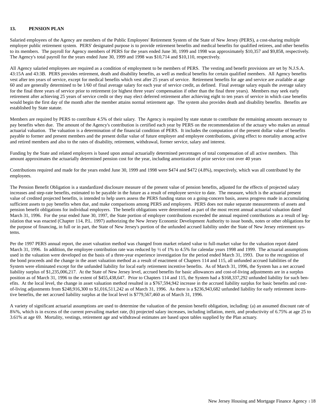## **13. PENSION PLAN**

Salaried employees of the Agency are members of the Public Employees' Retirement System of the State of New Jersey (PERS), a cost-sharing multiple employer public retirement system. PERS' designated purpose is to provide retirement benefits and medical benefits for qualified retirees, and other benefits to its members. The payroll for Agency members of PERS for the years ended June 30, 1999 and 1998 was approximately \$10,357 and \$9,858, respectively. The Agency's total payroll for the years ended June 30, 1999 and 1998 was \$10,714 and \$10,110, respectively.

All Agency salaried employees are required as a condition of employment to be members of PERS. The vesting and benefit provisions are set by N.J.S.A. 43:15A and 43:3B. PERS provides retirement, death and disability benefits, as well as medical benefits for certain qualified members. All Agency benefits vest after ten years of service, except for medical benefits which vest after 25 years of service. Retirement benefits for age and service are available at age 60 and are generally determined to be 1/60 of final average salary for each year of service credit, as defined. Final average salary equals the average salary for the final three years of service prior to retirement (or highest three years' compensation if other than the final three years). Members may seek early retirement after achieving 25 years of service credit or they may elect deferred retirement after achieving eight to ten years of service in which case benefits would begin the first day of the month after the member attains normal retirement age. The system also provides death and disability benefits. Benefits are established by State statute.

Members are required by PERS to contribute 4.5% of their salary. The Agency is required by state statute to contribute the remaining amounts necessary to pay benefits when due. The amount of the Agency's contribution is certified each year by PERS on the recommendation of the actuary who makes an annual actuarial valuation. The valuation is a determination of the financial condition of PERS. It includes the computation of the present dollar value of benefits payable to former and present members and the present dollar value of future employer and employee contributions, giving effect to mortality among active and retired members and also to the rates of disability, retirement, withdrawal, former service, salary and interest.

Funding by the State and related employers is based upon annual actuarially determined percentages of total compensation of all active members. This amount approximates the actuarially determined pension cost for the year, including amortization of prior service cost over 40 years

Contributions required and made for the years ended June 30, 1999 and 1998 were \$474 and \$472 (4.8%), respectively, which was all contributed by the employees.

The Pension Benefit Obligation is a standardized disclosure measure of the present value of pension benefits, adjusted for the effects of projected salary increases and step-rate benefits, estimated to be payable in the future as a result of employee service to date. The measure, which is the actuarial present value of credited projected benefits, is intended to help users assess the PERS funding status on a going-concern basis, assess progress made in accumulating sufficient assets to pay benefits when due, and make comparisons among PERS and employers. PERS does not make separate measurements of assets and pension benefit obligations for individual employers. The benefit obligations were determined as part of the most recent annual actuarial valuation dated March 31, 1996. For the year ended June 30, 1997, the State portion of employer contributions exceeded the annual required contributions as a result of legislation that was enacted (Chapter 114, P.L. 1997) authorizing the New Jersey Economic Development Authority to issue bonds, notes or other obligations for the purpose of financing, in full or in part, the State of New Jersey's portion of the unfunded accrued liability under the State of New Jersey retirement systems.

Per the 1997 PERS annual report, the asset valuation method was changed from market related value to full-market value for the valuation report dated March 31, 1996. In addition, the employee contribution rate was reduced by  $\frac{1}{2}$  of 1% to 4.5% for calendar years 1998 and 1999. The actuarial assumptions used in the valuation were developed on the basis of a three-year experience investigation for the period ended March 31, 1993. Due to the recognition of the bond proceeds and the change in the asset valuation method as a result of enactment of Chapters 114 and 115, all unfunded accrued liabilities of the System were eliminated except for the unfunded liability for local early retirement incentive benefits. As of March 31, 1996, the System has a net accrued liability surplus of \$1,235,006,217. At the State of New Jersey level, accrued benefits for basic allowances and cost-of-living adjustments are in a surplus position as of March 31, 1996 to the extent of \$455,438,647. Prior to Chapters 114 and 115, the System had a \$168,337,292 unfunded liability for such benefits. At the local level, the change in asset valuation method resulted in a \$767,594,942 increase in the accrued liability surplus for basic benefits and costof-living adjustments from \$248,916,300 to \$1,016,511,242 as of March 31, 1996. As there is a \$236,943,682 unfunded liability for early retirement incentive benefits, the net accrued liability surplus at the local level is \$779,567,460 as of March 31, 1996.

A variety of significant actuarial assumptions are used to determine the valuation of the pension benefit obligation, including: (a) an assumed discount rate of 834%, which is in excess of the current prevailing market rate, (b) projected salary increases, including inflation, merit, and productivity of 6.75% at age 25 to 3.61% at age 69. Mortality, vestings, retirement age and withdrawal estimates are based upon tables supplied by the Plan actuary.